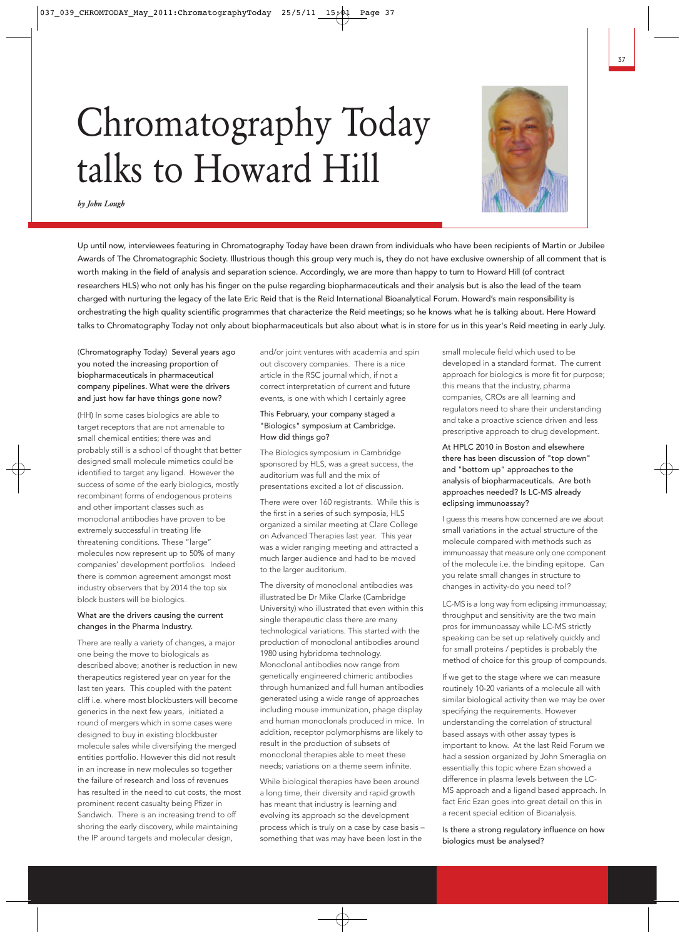# Chromatography Today talks to Howard Hill



*by John Lough*

Up until now, interviewees featuring in Chromatography Today have been drawn from individuals who have been recipients of Martin or Jubilee Awards of The Chromatographic Society. Illustrious though this group very much is, they do not have exclusive ownership of all comment that is worth making in the field of analysis and separation science. Accordingly, we are more than happy to turn to Howard Hill (of contract researchers HLS) who not only has his finger on the pulse regarding biopharmaceuticals and their analysis but is also the lead of the team charged with nurturing the legacy of the late Eric Reid that is the Reid International Bioanalytical Forum. Howard's main responsibility is orchestrating the high quality scientific programmes that characterize the Reid meetings; so he knows what he is talking about. Here Howard talks to Chromatography Today not only about biopharmaceuticals but also about what is in store for us in this year's Reid meeting in early July.

(Chromatography Today) Several years ago you noted the increasing proportion of biopharmaceuticals in pharmaceutical company pipelines. What were the drivers and just how far have things gone now?

(HH) In some cases biologics are able to target receptors that are not amenable to small chemical entities; there was and probably still is a school of thought that better designed small molecule mimetics could be identified to target any ligand. However the success of some of the early biologics, mostly recombinant forms of endogenous proteins and other important classes such as monoclonal antibodies have proven to be extremely successful in treating life threatening conditions. These "large" molecules now represent up to 50% of many companies' development portfolios. Indeed there is common agreement amongst most industry observers that by 2014 the top six block busters will be biologics.

# What are the drivers causing the current changes in the Pharma Industry.

There are really a variety of changes, a major one being the move to biologicals as described above; another is reduction in new therapeutics registered year on year for the last ten years. This coupled with the patent cliff i.e. where most blockbusters will become generics in the next few years, initiated a round of mergers which in some cases were designed to buy in existing blockbuster molecule sales while diversifying the merged entities portfolio. However this did not result in an increase in new molecules so together the failure of research and loss of revenues has resulted in the need to cut costs, the most prominent recent casualty being Pfizer in Sandwich. There is an increasing trend to off shoring the early discovery, while maintaining the IP around targets and molecular design,

and/or joint ventures with academia and spin out discovery companies. There is a nice article in the RSC journal which, if not a correct interpretation of current and future events, is one with which I certainly agree

# This February, your company staged a "Biologics" symposium at Cambridge. How did things go?

The Biologics symposium in Cambridge sponsored by HLS, was a great success, the auditorium was full and the mix of presentations excited a lot of discussion.

There were over 160 registrants. While this is the first in a series of such symposia, HLS organized a similar meeting at Clare College on Advanced Therapies last year. This year was a wider ranging meeting and attracted a much larger audience and had to be moved to the larger auditorium.

The diversity of monoclonal antibodies was illustrated be Dr Mike Clarke (Cambridge University) who illustrated that even within this single therapeutic class there are many technological variations. This started with the production of monoclonal antibodies around 1980 using hybridoma technology. Monoclonal antibodies now range from genetically engineered chimeric antibodies through humanized and full human antibodies generated using a wide range of approaches including mouse immunization, phage display and human monoclonals produced in mice. In addition, receptor polymorphisms are likely to result in the production of subsets of monoclonal therapies able to meet these needs; variations on a theme seem infinite.

While biological therapies have been around a long time, their diversity and rapid growth has meant that industry is learning and evolving its approach so the development process which is truly on a case by case basis – something that was may have been lost in the

small molecule field which used to be developed in a standard format. The current approach for biologics is more fit for purpose; this means that the industry, pharma companies, CROs are all learning and regulators need to share their understanding and take a proactive science driven and less prescriptive approach to drug development.

At HPLC 2010 in Boston and elsewhere there has been discussion of "top down" and "bottom up" approaches to the analysis of biopharmaceuticals. Are both approaches needed? Is LC-MS already eclipsing immunoassay?

I guess this means how concerned are we about small variations in the actual structure of the molecule compared with methods such as immunoassay that measure only one component of the molecule i.e. the binding epitope. Can you relate small changes in structure to changes in activity-do you need to!?

LC-MS is a long way from eclipsing immunoassay; throughput and sensitivity are the two main pros for immunoassay while LC-MS strictly speaking can be set up relatively quickly and for small proteins / peptides is probably the method of choice for this group of compounds.

If we get to the stage where we can measure routinely 10-20 variants of a molecule all with similar biological activity then we may be over specifying the requirements. However understanding the correlation of structural based assays with other assay types is important to know. At the last Reid Forum we had a session organized by John Smeraglia on essentially this topic where Ezan showed a difference in plasma levels between the LC-MS approach and a ligand based approach. In fact Eric Ezan goes into great detail on this in a recent special edition of Bioanalysis.

Is there a strong regulatory influence on how biologics must be analysed?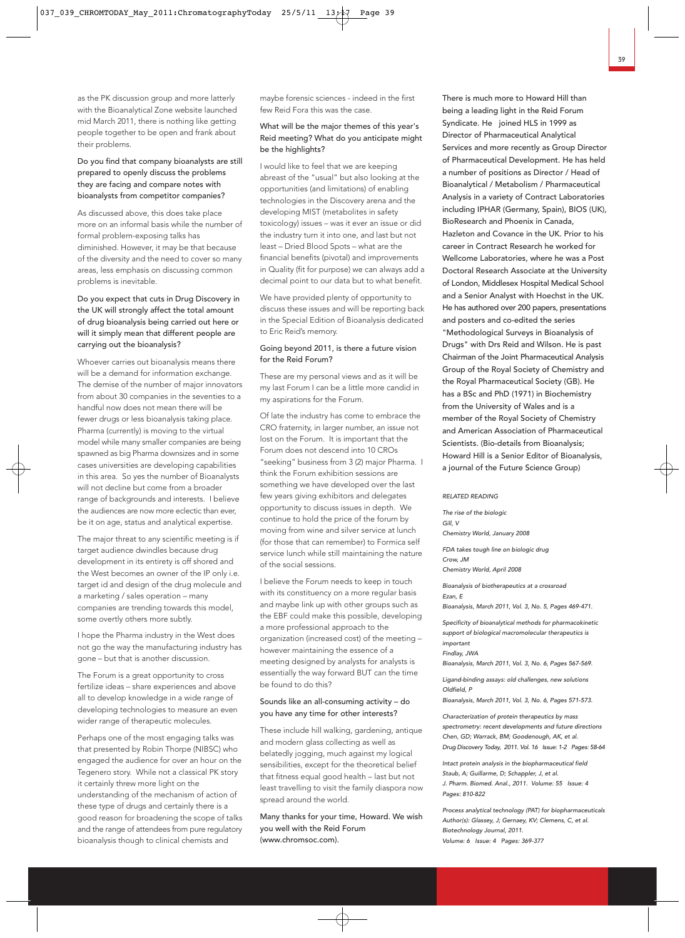as the PK discussion group and more latterly with the Bioanalytical Zone website launched mid March 2011, there is nothing like getting people together to be open and frank about their problems.

## Do you find that company bioanalysts are still prepared to openly discuss the problems they are facing and compare notes with bioanalysts from competitor companies?

As discussed above, this does take place more on an informal basis while the number of formal problem-exposing talks has diminished. However, it may be that because of the diversity and the need to cover so many areas, less emphasis on discussing common problems is inevitable.

# Do you expect that cuts in Drug Discovery in the UK will strongly affect the total amount of drug bioanalysis being carried out here or will it simply mean that different people are carrying out the bioanalysis?

Whoever carries out bioanalysis means there will be a demand for information exchange. The demise of the number of major innovators from about 30 companies in the seventies to a handful now does not mean there will be fewer drugs or less bioanalysis taking place. Pharma (currently) is moving to the virtual model while many smaller companies are being spawned as big Pharma downsizes and in some cases universities are developing capabilities in this area. So yes the number of Bioanalysts will not decline but come from a broader range of backgrounds and interests. I believe the audiences are now more eclectic than ever, be it on age, status and analytical expertise.

The major threat to any scientific meeting is if target audience dwindles because drug development in its entirety is off shored and the West becomes an owner of the IP only i.e. target id and design of the drug molecule and a marketing / sales operation – many companies are trending towards this model, some overtly others more subtly.

I hope the Pharma industry in the West does not go the way the manufacturing industry has gone – but that is another discussion.

The Forum is a great opportunity to cross fertilize ideas – share experiences and above all to develop knowledge in a wide range of developing technologies to measure an even wider range of therapeutic molecules.

Perhaps one of the most engaging talks was that presented by Robin Thorpe (NIBSC) who engaged the audience for over an hour on the Tegenero story. While not a classical PK story it certainly threw more light on the understanding of the mechanism of action of these type of drugs and certainly there is a good reason for broadening the scope of talks and the range of attendees from pure regulatory bioanalysis though to clinical chemists and

maybe forensic sciences - indeed in the first few Reid Fora this was the case.

## What will be the major themes of this year's Reid meeting? What do you anticipate might be the highlights?

I would like to feel that we are keeping abreast of the "usual" but also looking at the opportunities (and limitations) of enabling technologies in the Discovery arena and the developing MIST (metabolites in safety toxicology) issues – was it ever an issue or did the industry turn it into one, and last but not least – Dried Blood Spots – what are the financial benefits (pivotal) and improvements in Quality (fit for purpose) we can always add a decimal point to our data but to what benefit.

We have provided plenty of opportunity to discuss these issues and will be reporting back in the Special Edition of Bioanalysis dedicated to Eric Reid's memory.

# Going beyond 2011, is there a future vision for the Reid Forum?

These are my personal views and as it will be my last Forum I can be a little more candid in my aspirations for the Forum.

Of late the industry has come to embrace the CRO fraternity, in larger number, an issue not lost on the Forum. It is important that the Forum does not descend into 10 CROs "seeking" business from 3 (2) major Pharma. I think the Forum exhibition sessions are something we have developed over the last few years giving exhibitors and delegates opportunity to discuss issues in depth. We continue to hold the price of the forum by moving from wine and silver service at lunch (for those that can remember) to Formica self service lunch while still maintaining the nature of the social sessions.

I believe the Forum needs to keep in touch with its constituency on a more regular basis and maybe link up with other groups such as the EBF could make this possible, developing a more professional approach to the organization (increased cost) of the meeting – however maintaining the essence of a meeting designed by analysts for analysts is essentially the way forward BUT can the time be found to do this?

## Sounds like an all-consuming activity – do you have any time for other interests?

These include hill walking, gardening, antique and modern glass collecting as well as belatedly jogging, much against my logical sensibilities, except for the theoretical belief that fitness equal good health – last but not least travelling to visit the family diaspora now spread around the world.

Many thanks for your time, Howard. We wish you well with the Reid Forum (www.chromsoc.com).

There is much more to Howard Hill than being a leading light in the Reid Forum Syndicate. He joined HLS in 1999 as Director of Pharmaceutical Analytical Services and more recently as Group Director of Pharmaceutical Development. He has held a number of positions as Director / Head of Bioanalytical / Metabolism / Pharmaceutical Analysis in a variety of Contract Laboratories including IPHAR (Germany, Spain), BIOS (UK), BioResearch and Phoenix in Canada, Hazleton and Covance in the UK. Prior to his career in Contract Research he worked for Wellcome Laboratories, where he was a Post Doctoral Research Associate at the University of London, Middlesex Hospital Medical School and a Senior Analyst with Hoechst in the UK. He has authored over 200 papers, presentations and posters and co-edited the series "Methodological Surveys in Bioanalysis of Drugs" with Drs Reid and Wilson. He is past Chairman of the Joint Pharmaceutical Analysis Group of the Royal Society of Chemistry and the Royal Pharmaceutical Society (GB). He has a BSc and PhD (1971) in Biochemistry from the University of Wales and is a member of the Royal Society of Chemistry and American Association of Pharmaceutical Scientists. (Bio-details from Bioanalysis; Howard Hill is a Senior Editor of Bioanalysis, a journal of the Future Science Group)

#### RELATED READING

The rise of the biologic Gill, V Chemistry World, January 2008

FDA takes tough line on biologic drug Crow, JM Chemistry World, April 2008

Bioanalysis of biotherapeutics at a crossroad Ezan, E

Bioanalysis, March 2011, Vol. 3, No. 5, Pages 469-471.

Specificity of bioanalytical methods for pharmacokinetic support of biological macromolecular therapeutics is important

Findlay, JWA

Bioanalysis, March 2011, Vol. 3, No. 6, Pages 567-569.

Ligand-binding assays: old challenges, new solutions Oldfield, P

Bioanalysis, March 2011, Vol. 3, No. 6, Pages 571-573.

Characterization of protein therapeutics by mass spectrometry: recent developments and future directions Chen, GD; Warrack, BM; Goodenough, AK, et al. Drug Discovery Today, 2011. Vol. 16 Issue: 1-2 Pages: 58-64

Intact protein analysis in the biopharmaceutical field Staub, A; Guillarme, D; Schappler, J, et al. J. Pharm. Biomed. Anal., 2011. Volume: 55 Issue: 4 Pages: 810-822

Process analytical technology (PAT) for biopharmaceuticals Author(s): Glassey, J; Gernaey, KV; Clemens, C, et al. Biotechnology Journal, 2011. Volume: 6 Issue: 4 Pages: 369-377